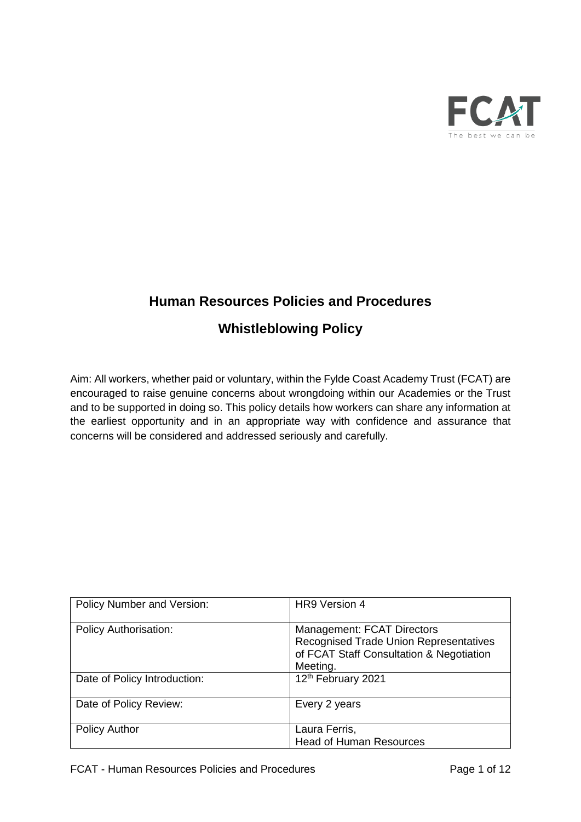

# **Human Resources Policies and Procedures**

# **Whistleblowing Policy**

Aim: All workers, whether paid or voluntary, within the Fylde Coast Academy Trust (FCAT) are encouraged to raise genuine concerns about wrongdoing within our Academies or the Trust and to be supported in doing so. This policy details how workers can share any information at the earliest opportunity and in an appropriate way with confidence and assurance that concerns will be considered and addressed seriously and carefully.

| Policy Number and Version:   | HR9 Version 4                                                                                                                              |
|------------------------------|--------------------------------------------------------------------------------------------------------------------------------------------|
| <b>Policy Authorisation:</b> | <b>Management: FCAT Directors</b><br><b>Recognised Trade Union Representatives</b><br>of FCAT Staff Consultation & Negotiation<br>Meeting. |
| Date of Policy Introduction: | 12th February 2021                                                                                                                         |
| Date of Policy Review:       | Every 2 years                                                                                                                              |
| <b>Policy Author</b>         | Laura Ferris,<br><b>Head of Human Resources</b>                                                                                            |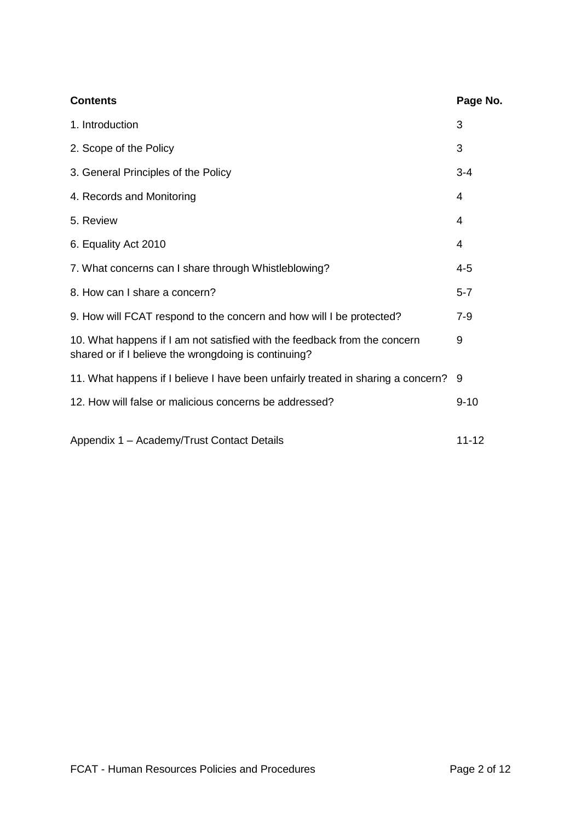| <b>Contents</b>                                                                                                                   | Page No.       |
|-----------------------------------------------------------------------------------------------------------------------------------|----------------|
| 1. Introduction                                                                                                                   | 3              |
| 2. Scope of the Policy                                                                                                            | 3              |
| 3. General Principles of the Policy                                                                                               | $3 - 4$        |
| 4. Records and Monitoring                                                                                                         | $\overline{4}$ |
| 5. Review                                                                                                                         | 4              |
| 6. Equality Act 2010                                                                                                              | 4              |
| 7. What concerns can I share through Whistleblowing?                                                                              | 4-5            |
| 8. How can I share a concern?                                                                                                     | $5 - 7$        |
| 9. How will FCAT respond to the concern and how will I be protected?                                                              | $7 - 9$        |
| 10. What happens if I am not satisfied with the feedback from the concern<br>shared or if I believe the wrongdoing is continuing? | 9              |
| 11. What happens if I believe I have been unfairly treated in sharing a concern?                                                  | 9              |
| 12. How will false or malicious concerns be addressed?                                                                            | $9 - 10$       |
| Appendix 1 - Academy/Trust Contact Details                                                                                        | $11 - 12$      |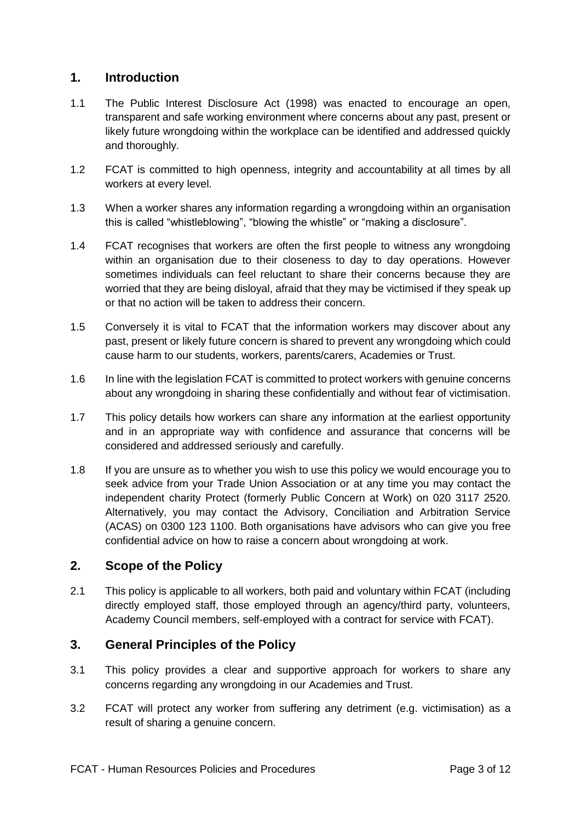## **1. Introduction**

- 1.1 The Public Interest Disclosure Act (1998) was enacted to encourage an open, transparent and safe working environment where concerns about any past, present or likely future wrongdoing within the workplace can be identified and addressed quickly and thoroughly.
- 1.2 FCAT is committed to high openness, integrity and accountability at all times by all workers at every level.
- 1.3 When a worker shares any information regarding a wrongdoing within an organisation this is called "whistleblowing", "blowing the whistle" or "making a disclosure".
- 1.4 FCAT recognises that workers are often the first people to witness any wrongdoing within an organisation due to their closeness to day to day operations. However sometimes individuals can feel reluctant to share their concerns because they are worried that they are being disloyal, afraid that they may be victimised if they speak up or that no action will be taken to address their concern.
- 1.5 Conversely it is vital to FCAT that the information workers may discover about any past, present or likely future concern is shared to prevent any wrongdoing which could cause harm to our students, workers, parents/carers, Academies or Trust.
- 1.6 In line with the legislation FCAT is committed to protect workers with genuine concerns about any wrongdoing in sharing these confidentially and without fear of victimisation.
- 1.7 This policy details how workers can share any information at the earliest opportunity and in an appropriate way with confidence and assurance that concerns will be considered and addressed seriously and carefully.
- 1.8 If you are unsure as to whether you wish to use this policy we would encourage you to seek advice from your Trade Union Association or at any time you may contact the independent charity Protect (formerly Public Concern at Work) on 020 3117 2520. Alternatively, you may contact the Advisory, Conciliation and Arbitration Service (ACAS) on 0300 123 1100. Both organisations have advisors who can give you free confidential advice on how to raise a concern about wrongdoing at work.

## **2. Scope of the Policy**

2.1 This policy is applicable to all workers, both paid and voluntary within FCAT (including directly employed staff, those employed through an agency/third party, volunteers, Academy Council members, self-employed with a contract for service with FCAT).

## **3. General Principles of the Policy**

- 3.1 This policy provides a clear and supportive approach for workers to share any concerns regarding any wrongdoing in our Academies and Trust.
- 3.2 FCAT will protect any worker from suffering any detriment (e.g. victimisation) as a result of sharing a genuine concern.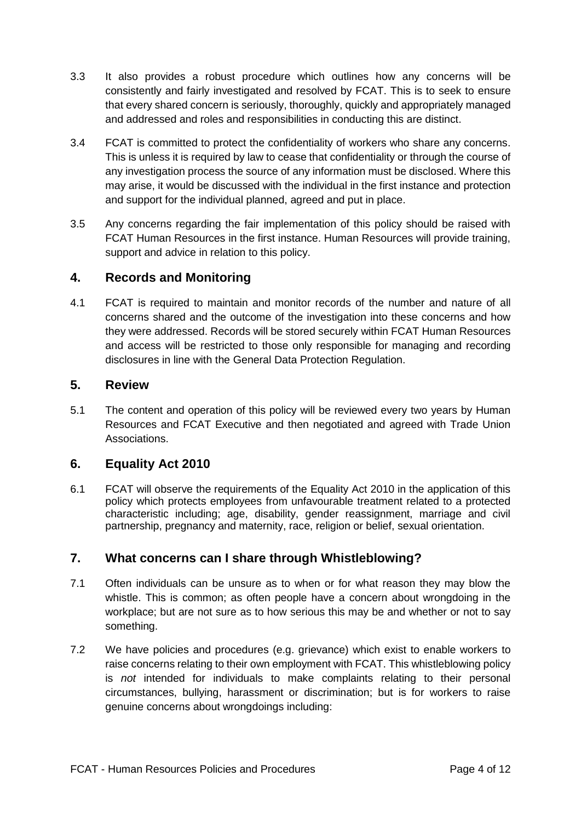- 3.3 It also provides a robust procedure which outlines how any concerns will be consistently and fairly investigated and resolved by FCAT. This is to seek to ensure that every shared concern is seriously, thoroughly, quickly and appropriately managed and addressed and roles and responsibilities in conducting this are distinct.
- 3.4 FCAT is committed to protect the confidentiality of workers who share any concerns. This is unless it is required by law to cease that confidentiality or through the course of any investigation process the source of any information must be disclosed. Where this may arise, it would be discussed with the individual in the first instance and protection and support for the individual planned, agreed and put in place.
- 3.5 Any concerns regarding the fair implementation of this policy should be raised with FCAT Human Resources in the first instance. Human Resources will provide training, support and advice in relation to this policy.

#### **4. Records and Monitoring**

4.1 FCAT is required to maintain and monitor records of the number and nature of all concerns shared and the outcome of the investigation into these concerns and how they were addressed. Records will be stored securely within FCAT Human Resources and access will be restricted to those only responsible for managing and recording disclosures in line with the General Data Protection Regulation.

#### **5. Review**

5.1 The content and operation of this policy will be reviewed every two years by Human Resources and FCAT Executive and then negotiated and agreed with Trade Union Associations.

## **6. Equality Act 2010**

6.1 FCAT will observe the requirements of the Equality Act 2010 in the application of this policy which protects employees from unfavourable treatment related to a protected characteristic including; age, disability, gender reassignment, marriage and civil partnership, pregnancy and maternity, race, religion or belief, sexual orientation.

## **7. What concerns can I share through Whistleblowing?**

- 7.1 Often individuals can be unsure as to when or for what reason they may blow the whistle. This is common; as often people have a concern about wrongdoing in the workplace; but are not sure as to how serious this may be and whether or not to say something.
- 7.2 We have policies and procedures (e.g. grievance) which exist to enable workers to raise concerns relating to their own employment with FCAT. This whistleblowing policy is *not* intended for individuals to make complaints relating to their personal circumstances, bullying, harassment or discrimination; but is for workers to raise genuine concerns about wrongdoings including: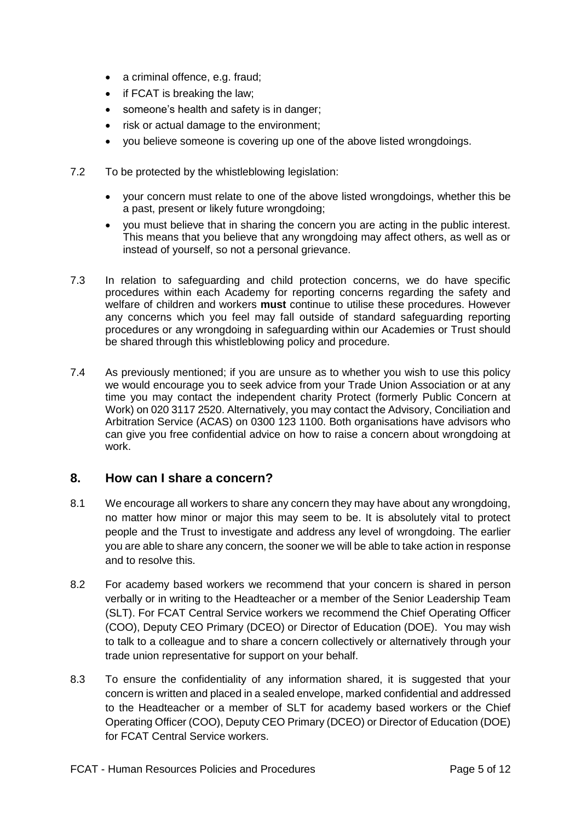- a criminal offence, e.g. fraud;
- if FCAT is breaking the law;
- someone's health and safety is in danger;
- risk or actual damage to the environment:
- you believe someone is covering up one of the above listed wrongdoings.
- 7.2 To be protected by the whistleblowing legislation:
	- your concern must relate to one of the above listed wrongdoings, whether this be a past, present or likely future wrongdoing;
	- you must believe that in sharing the concern you are acting in the public interest. This means that you believe that any wrongdoing may affect others, as well as or instead of yourself, so not a personal grievance.
- 7.3 In relation to safeguarding and child protection concerns, we do have specific procedures within each Academy for reporting concerns regarding the safety and welfare of children and workers **must** continue to utilise these procedures. However any concerns which you feel may fall outside of standard safeguarding reporting procedures or any wrongdoing in safeguarding within our Academies or Trust should be shared through this whistleblowing policy and procedure.
- 7.4 As previously mentioned; if you are unsure as to whether you wish to use this policy we would encourage you to seek advice from your Trade Union Association or at any time you may contact the independent charity Protect (formerly Public Concern at Work) on 020 3117 2520. Alternatively, you may contact the Advisory, Conciliation and Arbitration Service (ACAS) on 0300 123 1100. Both organisations have advisors who can give you free confidential advice on how to raise a concern about wrongdoing at work.

#### **8. How can I share a concern?**

- 8.1 We encourage all workers to share any concern they may have about any wrongdoing, no matter how minor or major this may seem to be. It is absolutely vital to protect people and the Trust to investigate and address any level of wrongdoing. The earlier you are able to share any concern, the sooner we will be able to take action in response and to resolve this.
- 8.2 For academy based workers we recommend that your concern is shared in person verbally or in writing to the Headteacher or a member of the Senior Leadership Team (SLT). For FCAT Central Service workers we recommend the Chief Operating Officer (COO), Deputy CEO Primary (DCEO) or Director of Education (DOE). You may wish to talk to a colleague and to share a concern collectively or alternatively through your trade union representative for support on your behalf.
- 8.3 To ensure the confidentiality of any information shared, it is suggested that your concern is written and placed in a sealed envelope, marked confidential and addressed to the Headteacher or a member of SLT for academy based workers or the Chief Operating Officer (COO), Deputy CEO Primary (DCEO) or Director of Education (DOE) for FCAT Central Service workers.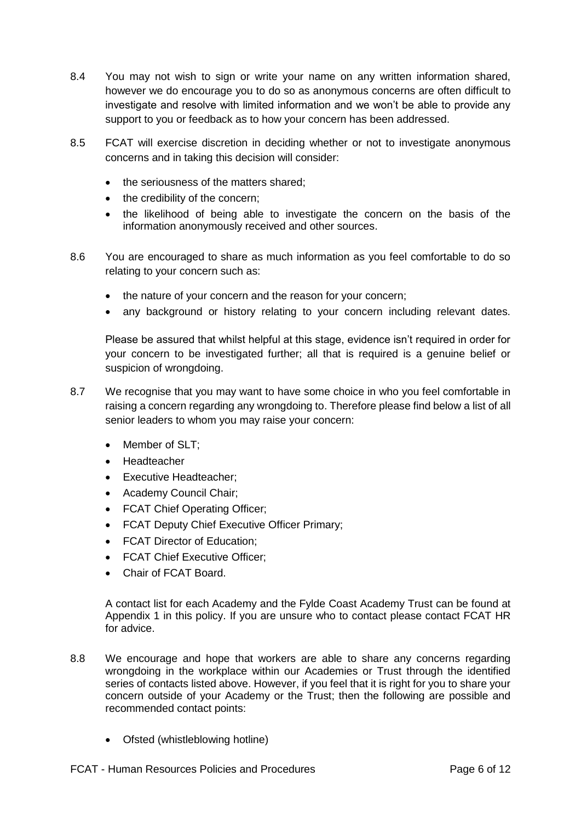- 8.4 You may not wish to sign or write your name on any written information shared, however we do encourage you to do so as anonymous concerns are often difficult to investigate and resolve with limited information and we won't be able to provide any support to you or feedback as to how your concern has been addressed.
- 8.5 FCAT will exercise discretion in deciding whether or not to investigate anonymous concerns and in taking this decision will consider:
	- the seriousness of the matters shared;
	- the credibility of the concern;
	- the likelihood of being able to investigate the concern on the basis of the information anonymously received and other sources.
- 8.6 You are encouraged to share as much information as you feel comfortable to do so relating to your concern such as:
	- the nature of your concern and the reason for your concern;
	- any background or history relating to your concern including relevant dates.

Please be assured that whilst helpful at this stage, evidence isn't required in order for your concern to be investigated further; all that is required is a genuine belief or suspicion of wrongdoing.

- 8.7 We recognise that you may want to have some choice in who you feel comfortable in raising a concern regarding any wrongdoing to. Therefore please find below a list of all senior leaders to whom you may raise your concern:
	- Member of SLT:
	- Headteacher
	- Executive Headteacher:
	- Academy Council Chair;
	- FCAT Chief Operating Officer;
	- FCAT Deputy Chief Executive Officer Primary;
	- FCAT Director of Education:
	- FCAT Chief Executive Officer;
	- Chair of FCAT Board.

A contact list for each Academy and the Fylde Coast Academy Trust can be found at Appendix 1 in this policy. If you are unsure who to contact please contact FCAT HR for advice.

- 8.8 We encourage and hope that workers are able to share any concerns regarding wrongdoing in the workplace within our Academies or Trust through the identified series of contacts listed above. However, if you feel that it is right for you to share your concern outside of your Academy or the Trust; then the following are possible and recommended contact points:
	- Ofsted (whistleblowing hotline)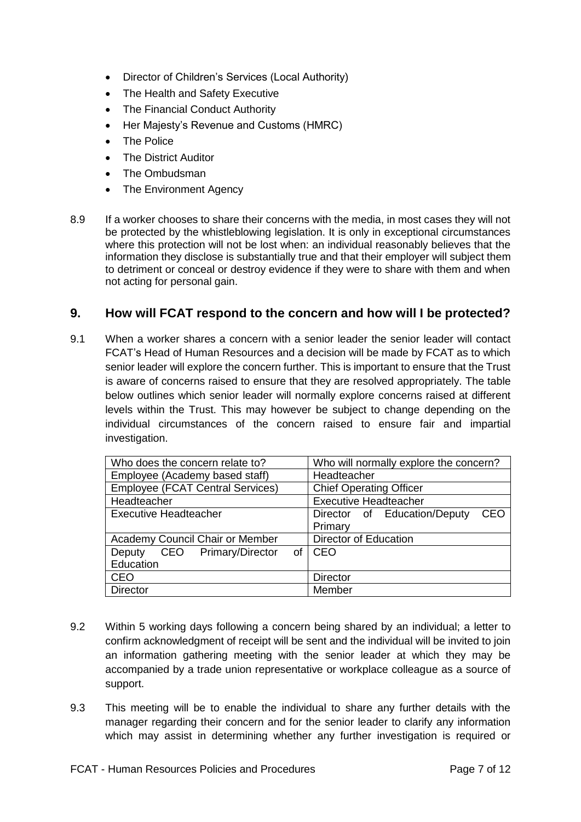- Director of Children's Services (Local Authority)
- The Health and Safety Executive
- The Financial Conduct Authority
- Her Majesty's Revenue and Customs (HMRC)
- The Police
- The District Auditor
- The Ombudsman
- The Environment Agency
- 8.9 If a worker chooses to share their concerns with the media, in most cases they will not be protected by the whistleblowing legislation. It is only in exceptional circumstances where this protection will not be lost when: an individual reasonably believes that the information they disclose is substantially true and that their employer will subject them to detriment or conceal or destroy evidence if they were to share with them and when not acting for personal gain.

#### **9. How will FCAT respond to the concern and how will I be protected?**

9.1 When a worker shares a concern with a senior leader the senior leader will contact FCAT's Head of Human Resources and a decision will be made by FCAT as to which senior leader will explore the concern further. This is important to ensure that the Trust is aware of concerns raised to ensure that they are resolved appropriately. The table below outlines which senior leader will normally explore concerns raised at different levels within the Trust. This may however be subject to change depending on the individual circumstances of the concern raised to ensure fair and impartial investigation.

| Who does the concern relate to?         | Who will normally explore the concern? |
|-----------------------------------------|----------------------------------------|
| Employee (Academy based staff)          | Headteacher                            |
| <b>Employee (FCAT Central Services)</b> | <b>Chief Operating Officer</b>         |
| Headteacher                             | <b>Executive Headteacher</b>           |
| <b>Executive Headteacher</b>            | CEO<br>Director of Education/Deputy    |
|                                         | Primary                                |
| Academy Council Chair or Member         | <b>Director of Education</b>           |
| CEO Primary/Director<br>Deputy<br>οf    | CEO                                    |
| Education                               |                                        |
| <b>CEO</b>                              | <b>Director</b>                        |
| <b>Director</b>                         | Member                                 |

- 9.2 Within 5 working days following a concern being shared by an individual; a letter to confirm acknowledgment of receipt will be sent and the individual will be invited to join an information gathering meeting with the senior leader at which they may be accompanied by a trade union representative or workplace colleague as a source of support.
- 9.3 This meeting will be to enable the individual to share any further details with the manager regarding their concern and for the senior leader to clarify any information which may assist in determining whether any further investigation is required or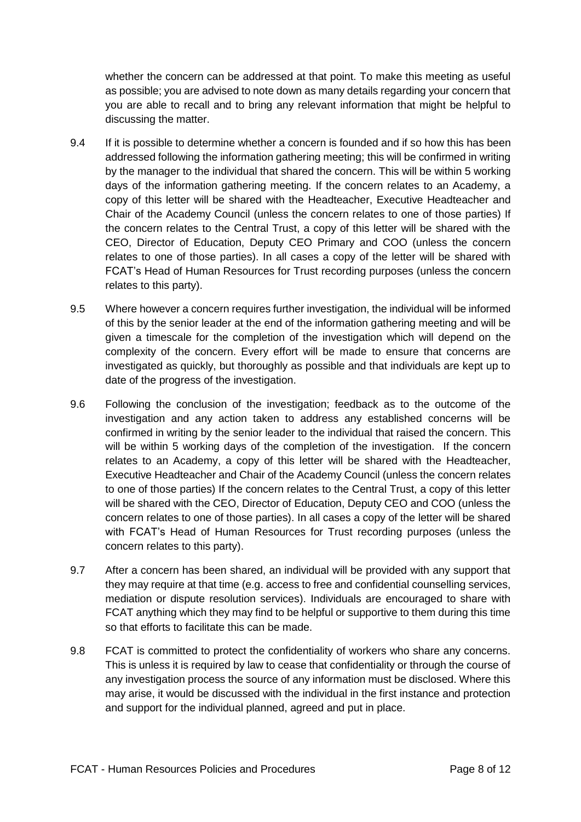whether the concern can be addressed at that point. To make this meeting as useful as possible; you are advised to note down as many details regarding your concern that you are able to recall and to bring any relevant information that might be helpful to discussing the matter.

- 9.4 If it is possible to determine whether a concern is founded and if so how this has been addressed following the information gathering meeting; this will be confirmed in writing by the manager to the individual that shared the concern. This will be within 5 working days of the information gathering meeting. If the concern relates to an Academy, a copy of this letter will be shared with the Headteacher, Executive Headteacher and Chair of the Academy Council (unless the concern relates to one of those parties) If the concern relates to the Central Trust, a copy of this letter will be shared with the CEO, Director of Education, Deputy CEO Primary and COO (unless the concern relates to one of those parties). In all cases a copy of the letter will be shared with FCAT's Head of Human Resources for Trust recording purposes (unless the concern relates to this party).
- 9.5 Where however a concern requires further investigation, the individual will be informed of this by the senior leader at the end of the information gathering meeting and will be given a timescale for the completion of the investigation which will depend on the complexity of the concern. Every effort will be made to ensure that concerns are investigated as quickly, but thoroughly as possible and that individuals are kept up to date of the progress of the investigation.
- 9.6 Following the conclusion of the investigation; feedback as to the outcome of the investigation and any action taken to address any established concerns will be confirmed in writing by the senior leader to the individual that raised the concern. This will be within 5 working days of the completion of the investigation. If the concern relates to an Academy, a copy of this letter will be shared with the Headteacher, Executive Headteacher and Chair of the Academy Council (unless the concern relates to one of those parties) If the concern relates to the Central Trust, a copy of this letter will be shared with the CEO, Director of Education, Deputy CEO and COO (unless the concern relates to one of those parties). In all cases a copy of the letter will be shared with FCAT's Head of Human Resources for Trust recording purposes (unless the concern relates to this party).
- 9.7 After a concern has been shared, an individual will be provided with any support that they may require at that time (e.g. access to free and confidential counselling services, mediation or dispute resolution services). Individuals are encouraged to share with FCAT anything which they may find to be helpful or supportive to them during this time so that efforts to facilitate this can be made.
- 9.8 FCAT is committed to protect the confidentiality of workers who share any concerns. This is unless it is required by law to cease that confidentiality or through the course of any investigation process the source of any information must be disclosed. Where this may arise, it would be discussed with the individual in the first instance and protection and support for the individual planned, agreed and put in place.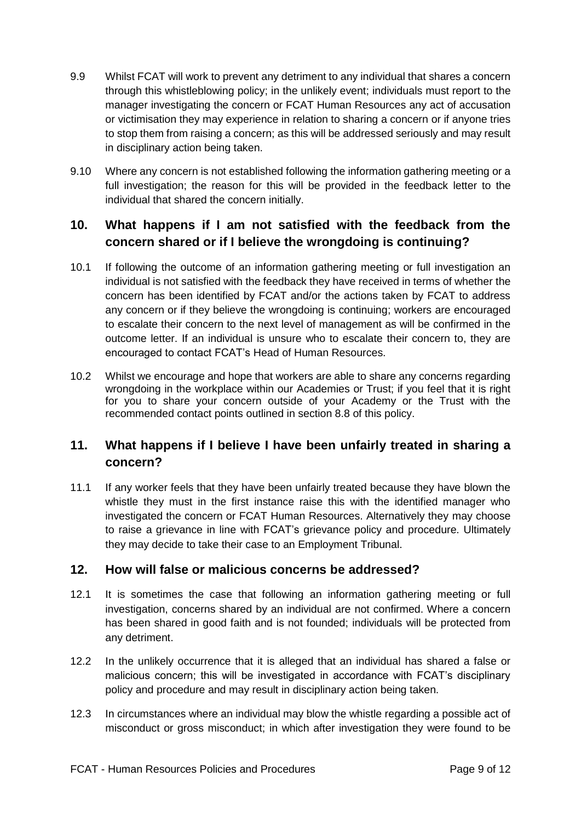- 9.9 Whilst FCAT will work to prevent any detriment to any individual that shares a concern through this whistleblowing policy; in the unlikely event; individuals must report to the manager investigating the concern or FCAT Human Resources any act of accusation or victimisation they may experience in relation to sharing a concern or if anyone tries to stop them from raising a concern; as this will be addressed seriously and may result in disciplinary action being taken.
- 9.10 Where any concern is not established following the information gathering meeting or a full investigation; the reason for this will be provided in the feedback letter to the individual that shared the concern initially.

## **10. What happens if I am not satisfied with the feedback from the concern shared or if I believe the wrongdoing is continuing?**

- 10.1 If following the outcome of an information gathering meeting or full investigation an individual is not satisfied with the feedback they have received in terms of whether the concern has been identified by FCAT and/or the actions taken by FCAT to address any concern or if they believe the wrongdoing is continuing; workers are encouraged to escalate their concern to the next level of management as will be confirmed in the outcome letter. If an individual is unsure who to escalate their concern to, they are encouraged to contact FCAT's Head of Human Resources.
- 10.2 Whilst we encourage and hope that workers are able to share any concerns regarding wrongdoing in the workplace within our Academies or Trust; if you feel that it is right for you to share your concern outside of your Academy or the Trust with the recommended contact points outlined in section 8.8 of this policy.

# **11. What happens if I believe I have been unfairly treated in sharing a concern?**

11.1 If any worker feels that they have been unfairly treated because they have blown the whistle they must in the first instance raise this with the identified manager who investigated the concern or FCAT Human Resources. Alternatively they may choose to raise a grievance in line with FCAT's grievance policy and procedure. Ultimately they may decide to take their case to an Employment Tribunal.

## **12. How will false or malicious concerns be addressed?**

- 12.1 It is sometimes the case that following an information gathering meeting or full investigation, concerns shared by an individual are not confirmed. Where a concern has been shared in good faith and is not founded; individuals will be protected from any detriment.
- 12.2 In the unlikely occurrence that it is alleged that an individual has shared a false or malicious concern; this will be investigated in accordance with FCAT's disciplinary policy and procedure and may result in disciplinary action being taken.
- 12.3 In circumstances where an individual may blow the whistle regarding a possible act of misconduct or gross misconduct; in which after investigation they were found to be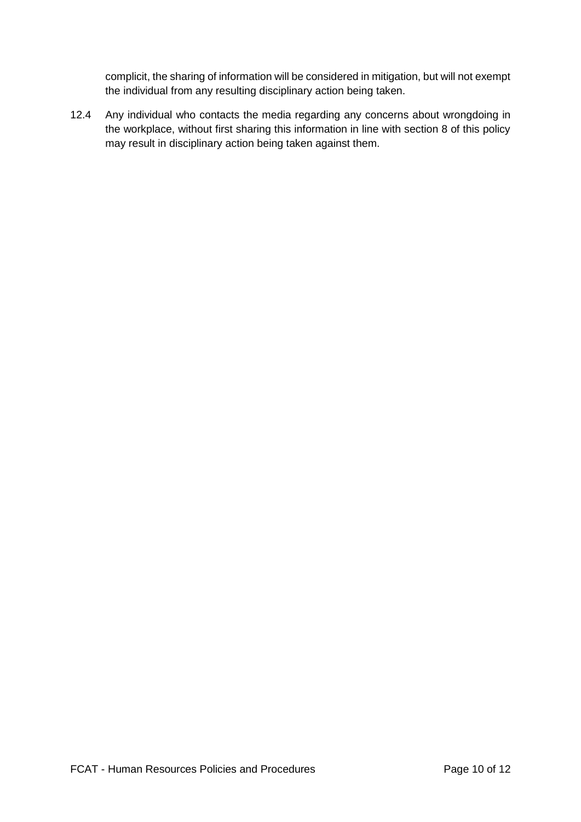complicit, the sharing of information will be considered in mitigation, but will not exempt the individual from any resulting disciplinary action being taken.

12.4 Any individual who contacts the media regarding any concerns about wrongdoing in the workplace, without first sharing this information in line with section 8 of this policy may result in disciplinary action being taken against them.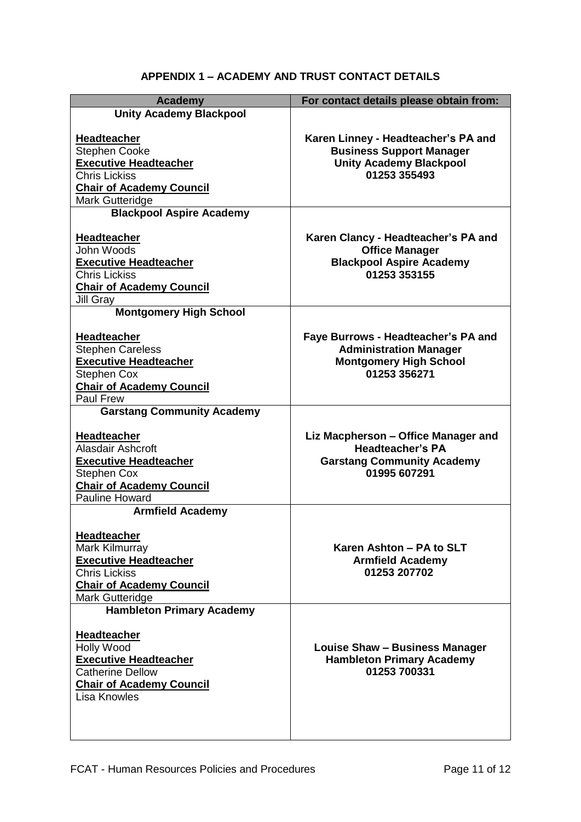# **APPENDIX 1 – ACADEMY AND TRUST CONTACT DETAILS**

| <b>Academy</b>                                                                                                                                            | For contact details please obtain from:                                                                                  |
|-----------------------------------------------------------------------------------------------------------------------------------------------------------|--------------------------------------------------------------------------------------------------------------------------|
| <b>Unity Academy Blackpool</b>                                                                                                                            |                                                                                                                          |
| Headteacher<br><b>Stephen Cooke</b><br><b>Executive Headteacher</b><br><b>Chris Lickiss</b><br><b>Chair of Academy Council</b><br>Mark Gutteridge         | Karen Linney - Headteacher's PA and<br><b>Business Support Manager</b><br><b>Unity Academy Blackpool</b><br>01253 355493 |
| <b>Blackpool Aspire Academy</b>                                                                                                                           |                                                                                                                          |
| Headteacher<br>John Woods<br><b>Executive Headteacher</b><br><b>Chris Lickiss</b><br><b>Chair of Academy Council</b><br>Jill Gray                         | Karen Clancy - Headteacher's PA and<br><b>Office Manager</b><br><b>Blackpool Aspire Academy</b><br>01253 353155          |
| <b>Montgomery High School</b>                                                                                                                             |                                                                                                                          |
| <b>Headteacher</b><br><b>Stephen Careless</b><br><b>Executive Headteacher</b><br>Stephen Cox<br><b>Chair of Academy Council</b><br><b>Paul Frew</b>       | Faye Burrows - Headteacher's PA and<br><b>Administration Manager</b><br><b>Montgomery High School</b><br>01253 356271    |
| <b>Garstang Community Academy</b>                                                                                                                         |                                                                                                                          |
| <b>Headteacher</b><br>Alasdair Ashcroft<br><b>Executive Headteacher</b><br><b>Stephen Cox</b><br><b>Chair of Academy Council</b><br><b>Pauline Howard</b> | Liz Macpherson - Office Manager and<br><b>Headteacher's PA</b><br><b>Garstang Community Academy</b><br>01995 607291      |
| <b>Armfield Academy</b>                                                                                                                                   |                                                                                                                          |
| Headteacher<br>Mark Kilmurray<br><b>Executive Headteacher</b><br><b>Chris Lickiss</b><br><b>Chair of Academy Council</b><br>Mark Gutteridge               | Karen Ashton - PA to SLT<br><b>Armfield Academy</b><br>01253 207702                                                      |
| <b>Hambleton Primary Academy</b>                                                                                                                          |                                                                                                                          |
| <b>Headteacher</b><br><b>Holly Wood</b><br><b>Executive Headteacher</b><br><b>Catherine Dellow</b><br><b>Chair of Academy Council</b><br>Lisa Knowles     | Louise Shaw - Business Manager<br><b>Hambleton Primary Academy</b><br>01253 700331                                       |
|                                                                                                                                                           |                                                                                                                          |